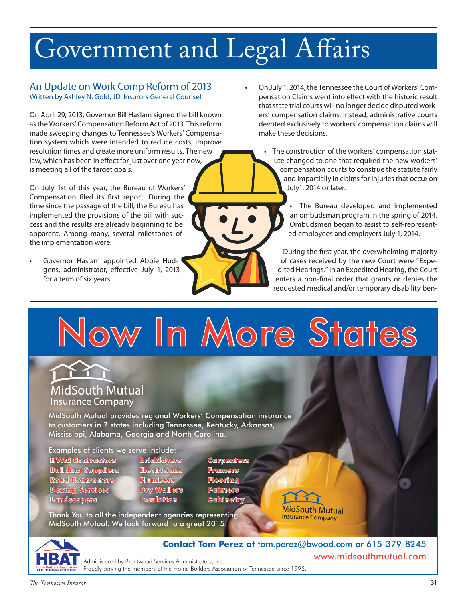# Government and Legal Affairs

### An Update on Work Comp Reform of 2013 Written by Ashley N. Gold, JD, Insurors General Counsel

On April 29, 2013, Governor Bill Haslam signed the bill known as the Workers' Compensation Reform Act of 2013. This reform made sweeping changes to Tennessee's Workers' Compensation system which were intended to reduce costs, improve resolution times and create more uniform results. The new law, which has been in effect for just over one year now, is meeting all of the target goals.

On July 1st of this year, the Bureau of Workers' Compensation filed its first report. During the time since the passage of the bill, the Bureau has implemented the provisions of the bill with success and the results are already beginning to be apparent. Among many, several milestones of the implementation were:

Governor Haslam appointed Abbie Hudgens, administrator, effective July 1, 2013 for a term of six years.

On July 1, 2014, the Tennessee the Court of Workers' Compensation Claims went into effect with the historic result that state trial courts will no longer decide disputed workers' compensation claims. Instead, administrative courts devoted exclusively to workers' compensation claims will make these decisions.

> The construction of the workers' compensation statute changed to one that required the new workers' compensation courts to construe the statute fairly and impartially in claims for injuries that occur on July1, 2014 or later.

• The Bureau developed and implemented an ombudsman program in the spring of 2014. Ombudsmen began to assist to self-represented employees and employers July 1, 2014.

During the first year, the overwhelming majority of cases received by the new Court were "Expedited Hearings." In an Expedited Hearing, the Court enters a non-final order that grants or denies the requested medical and/or temporary disability ben-

Now In More States

## MidSouth Mutual **Insurance Company**

MidSouth Mutual provides regional Workers' Compensation insurance to customers in 7 states including Tennessee, Kentucky, Arkansas, Mississippi, Alabama, Georgia and North Carolina.

Examples of clients we serve include:<br><u>HIVAG Gonfiracions \_\_\_\_\_Bricklayers</u>

- **HVAC Contractors Bricklayers Carpenters Building Suppliers Electricians Framers Road Contractors Plumbers Flooring Dozing Services Dry Wallers Painters Landscapers Insulation Cabinetry**
	-

Thank You to all the independent agencies representing MidSouth Mutual. We look forward to a great 2015.



www.midsouthmutual.com **Contact Tom Perez at** tom.perez@bwood.com or 615-379-8245

MidSouth Mutual **Insurance Company** 

Administered by Brentwood Services Administrators, Inc. Proudly serving the members of the Home Builders Association of Tennessee since 1995.